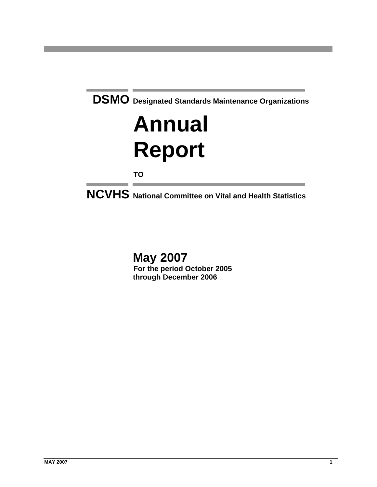**DSMO Designated Standards Maintenance Organizations**

# **Annual Report**

**TO**

**NCVHS National Committee on Vital and Health Statistics**

**May 2007 For the period October 2005 through December 2006**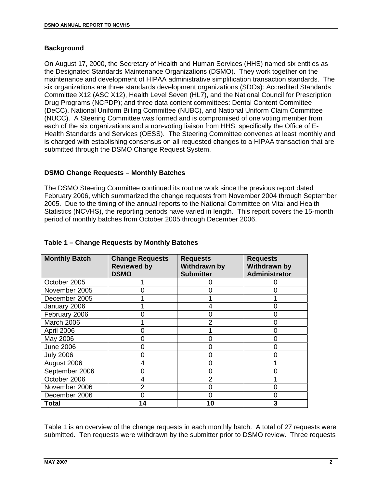#### **Background**

On August 17, 2000, the Secretary of Health and Human Services (HHS) named six entities as the Designated Standards Maintenance Organizations (DSMO). They work together on the maintenance and development of HIPAA administrative simplification transaction standards. The six organizations are three standards development organizations (SDOs): Accredited Standards Committee X12 (ASC X12), Health Level Seven (HL7), and the National Council for Prescription Drug Programs (NCPDP); and three data content committees: Dental Content Committee (DeCC), National Uniform Billing Committee (NUBC), and National Uniform Claim Committee (NUCC). A Steering Committee was formed and is compromised of one voting member from each of the six organizations and a non-voting liaison from HHS, specifically the Office of E-Health Standards and Services (OESS). The Steering Committee convenes at least monthly and is charged with establishing consensus on all requested changes to a HIPAA transaction that are submitted through the DSMO Change Request System.

#### **DSMO Change Requests – Monthly Batches**

The DSMO Steering Committee continued its routine work since the previous report dated February 2006, which summarized the change requests from November 2004 through September 2005. Due to the timing of the annual reports to the National Committee on Vital and Health Statistics (NCVHS), the reporting periods have varied in length. This report covers the 15-month period of monthly batches from October 2005 through December 2006.

| <b>Monthly Batch</b> | <b>Change Requests</b><br><b>Reviewed by</b><br><b>DSMO</b> | <b>Requests</b><br><b>Withdrawn by</b><br><b>Submitter</b> | <b>Requests</b><br><b>Withdrawn by</b><br><b>Administrator</b> |
|----------------------|-------------------------------------------------------------|------------------------------------------------------------|----------------------------------------------------------------|
| October 2005         |                                                             |                                                            |                                                                |
| November 2005        |                                                             |                                                            |                                                                |
| December 2005        |                                                             |                                                            |                                                                |
| January 2006         |                                                             |                                                            |                                                                |
| February 2006        |                                                             |                                                            |                                                                |
| March 2006           |                                                             | $\mathcal{P}$                                              | O                                                              |
| April 2006           |                                                             |                                                            |                                                                |
| May 2006             |                                                             |                                                            |                                                                |
| <b>June 2006</b>     |                                                             |                                                            |                                                                |
| <b>July 2006</b>     | በ                                                           |                                                            |                                                                |
| August 2006          | 4                                                           |                                                            |                                                                |
| September 2006       | ი                                                           |                                                            |                                                                |
| October 2006         | 4                                                           | 2                                                          |                                                                |
| November 2006        | 2                                                           |                                                            |                                                                |
| December 2006        | ∩                                                           |                                                            |                                                                |
| Total                | 14                                                          | 10                                                         |                                                                |

#### **Table 1 – Change Requests by Monthly Batches**

Table 1 is an overview of the change requests in each monthly batch. A total of 27 requests were submitted. Ten requests were withdrawn by the submitter prior to DSMO review. Three requests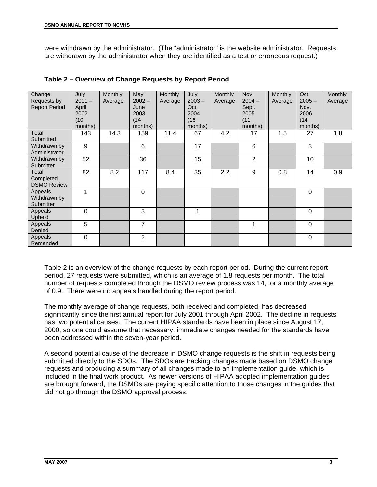were withdrawn by the administrator. (The "administrator" is the website administrator. Requests are withdrawn by the administrator when they are identified as a test or erroneous request.)

| Change<br>Requests by<br><b>Report Period</b> | July<br>$2001 -$<br>April<br>2002<br>(10)<br>months) | <b>Monthly</b><br>Average | May<br>$2002 -$<br>June<br>2003<br>(14)<br>months) | Monthly<br>Average | July<br>$2003 -$<br>Oct.<br>2004<br>(16)<br>months) | Monthly<br>Average | Nov.<br>$2004 -$<br>Sept.<br>2005<br>(11)<br>months) | Monthly<br>Average | Oct.<br>$2005 -$<br>Nov.<br>2006<br>(14)<br>months) | Monthly<br>Average |
|-----------------------------------------------|------------------------------------------------------|---------------------------|----------------------------------------------------|--------------------|-----------------------------------------------------|--------------------|------------------------------------------------------|--------------------|-----------------------------------------------------|--------------------|
| Total<br>Submitted                            | 143                                                  | 14.3                      | 159                                                | 11.4               | 67                                                  | 4.2                | 17                                                   | 1.5                | 27                                                  | 1.8                |
| Withdrawn by<br>Administrator                 | 9                                                    |                           | 6                                                  |                    | 17                                                  |                    | 6                                                    |                    | 3                                                   |                    |
| Withdrawn by<br>Submitter                     | 52                                                   |                           | 36                                                 |                    | 15                                                  |                    | $\overline{2}$                                       |                    | 10                                                  |                    |
| Total<br>Completed<br><b>DSMO Review</b>      | 82                                                   | 8.2                       | 117                                                | 8.4                | 35                                                  | 2.2                | 9                                                    | 0.8                | 14                                                  | 0.9                |
| Appeals<br>Withdrawn by<br>Submitter          | 1                                                    |                           | 0                                                  |                    |                                                     |                    |                                                      |                    | 0                                                   |                    |
| Appeals<br>Upheld                             | $\Omega$                                             |                           | 3                                                  |                    | 1                                                   |                    |                                                      |                    | $\mathbf 0$                                         |                    |
| Appeals<br>Denied                             | 5                                                    |                           | $\overline{7}$                                     |                    |                                                     |                    | 1                                                    |                    | $\mathbf 0$                                         |                    |
| Appeals<br>Remanded                           | $\Omega$                                             |                           | $\overline{2}$                                     |                    |                                                     |                    |                                                      |                    | $\mathbf 0$                                         |                    |

**Table 2 – Overview of Change Requests by Report Period** 

Table 2 is an overview of the change requests by each report period. During the current report period, 27 requests were submitted, which is an average of 1.8 requests per month. The total number of requests completed through the DSMO review process was 14, for a monthly average of 0.9. There were no appeals handled during the report period.

The monthly average of change requests, both received and completed, has decreased significantly since the first annual report for July 2001 through April 2002. The decline in requests has two potential causes. The current HIPAA standards have been in place since August 17, 2000, so one could assume that necessary, immediate changes needed for the standards have been addressed within the seven-year period.

A second potential cause of the decrease in DSMO change requests is the shift in requests being submitted directly to the SDOs. The SDOs are tracking changes made based on DSMO change requests and producing a summary of all changes made to an implementation guide, which is included in the final work product. As newer versions of HIPAA adopted implementation guides are brought forward, the DSMOs are paying specific attention to those changes in the guides that did not go through the DSMO approval process.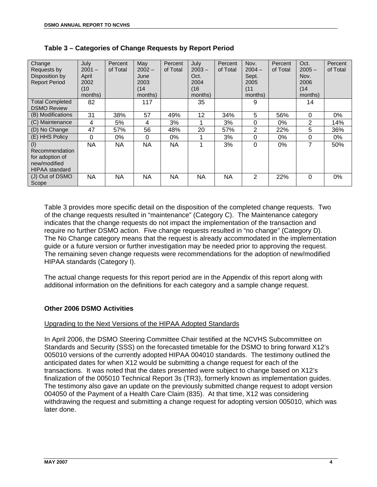| Change<br>Requests by<br>Disposition by<br><b>Report Period</b>                   | July<br>$2001 -$<br>April<br>2002<br>(10<br>months) | Percent<br>of Total | May<br>$2002 -$<br>June<br>2003<br>(14)<br>months) | Percent<br>of Total | July<br>$2003 -$<br>Oct.<br>2004<br>(16)<br>months) | Percent<br>of Total | Nov.<br>$2004 -$<br>Sept.<br>2005<br>(11)<br>months) | Percent<br>of Total | Oct.<br>$2005 -$<br>Nov.<br>2006<br>(14)<br>months) | Percent<br>of Total |
|-----------------------------------------------------------------------------------|-----------------------------------------------------|---------------------|----------------------------------------------------|---------------------|-----------------------------------------------------|---------------------|------------------------------------------------------|---------------------|-----------------------------------------------------|---------------------|
| <b>Total Completed</b><br><b>DSMO Review</b>                                      | 82                                                  |                     | 117                                                |                     | 35                                                  |                     | 9                                                    |                     | 14                                                  |                     |
| (B) Modifications                                                                 | 31                                                  | 38%                 | 57                                                 | 49%                 | 12                                                  | 34%                 | 5                                                    | 56%                 | $\Omega$                                            | 0%                  |
| (C) Maintenance                                                                   | 4                                                   | 5%                  | 4                                                  | 3%                  |                                                     | 3%                  | 0                                                    | 0%                  | 2                                                   | 14%                 |
| (D) No Change                                                                     | 47                                                  | 57%                 | 56                                                 | 48%                 | 20                                                  | 57%                 | $\overline{2}$                                       | 22%                 | 5                                                   | 36%                 |
| (E) HHS Policy                                                                    | 0                                                   | 0%                  | 0                                                  | 0%                  |                                                     | 3%                  | 0                                                    | 0%                  | 0                                                   | 0%                  |
| (1)<br>Recommendation<br>for adoption of<br>new/modified<br><b>HIPAA</b> standard | NA                                                  | <b>NA</b>           | <b>NA</b>                                          | NA                  |                                                     | 3%                  | $\Omega$                                             | 0%                  | 7                                                   | 50%                 |
| (J) Out of DSMO<br>Scope                                                          | NA                                                  | <b>NA</b>           | <b>NA</b>                                          | NA                  | <b>NA</b>                                           | NA                  | $\overline{2}$                                       | 22%                 | $\Omega$                                            | 0%                  |

Table 3 provides more specific detail on the disposition of the completed change requests. Two of the change requests resulted in "maintenance" (Category C). The Maintenance category indicates that the change requests do not impact the implementation of the transaction and require no further DSMO action. Five change requests resulted in "no change" (Category D). The No Change category means that the request is already accommodated in the implementation guide or a future version or further investigation may be needed prior to approving the request. The remaining seven change requests were recommendations for the adoption of new/modified HIPAA standards (Category I).

The actual change requests for this report period are in the Appendix of this report along with additional information on the definitions for each category and a sample change request.

#### **Other 2006 DSMO Activities**

#### Upgrading to the Next Versions of the HIPAA Adopted Standards

In April 2006, the DSMO Steering Committee Chair testified at the NCVHS Subcommittee on Standards and Security (SSS) on the forecasted timetable for the DSMO to bring forward X12's 005010 versions of the currently adopted HIPAA 004010 standards. The testimony outlined the anticipated dates for when X12 would be submitting a change request for each of the transactions. It was noted that the dates presented were subject to change based on X12's finalization of the 005010 Technical Report 3s (TR3), formerly known as implementation guides. The testimony also gave an update on the previously submitted change request to adopt version 004050 of the Payment of a Health Care Claim (835). At that time, X12 was considering withdrawing the request and submitting a change request for adopting version 005010, which was later done.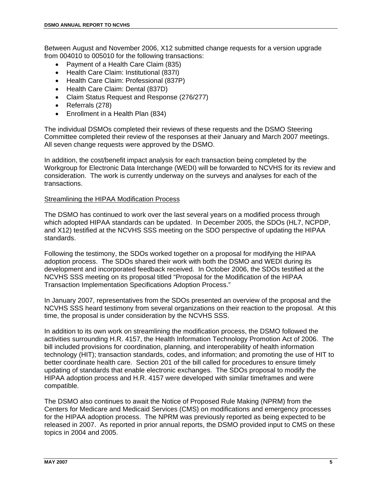Between August and November 2006, X12 submitted change requests for a version upgrade from 004010 to 005010 for the following transactions:

- Payment of a Health Care Claim (835)
- Health Care Claim: Institutional (837I)
- Health Care Claim: Professional (837P)
- Health Care Claim: Dental (837D)
- Claim Status Request and Response (276/277)
- Referrals (278)
- Enrollment in a Health Plan (834)

The individual DSMOs completed their reviews of these requests and the DSMO Steering Committee completed their review of the responses at their January and March 2007 meetings. All seven change requests were approved by the DSMO.

In addition, the cost/benefit impact analysis for each transaction being completed by the Workgroup for Electronic Data Interchange (WEDI) will be forwarded to NCVHS for its review and consideration. The work is currently underway on the surveys and analyses for each of the transactions.

#### Streamlining the HIPAA Modification Process

The DSMO has continued to work over the last several years on a modified process through which adopted HIPAA standards can be updated. In December 2005, the SDOs (HL7, NCPDP, and X12) testified at the NCVHS SSS meeting on the SDO perspective of updating the HIPAA standards.

Following the testimony, the SDOs worked together on a proposal for modifying the HIPAA adoption process. The SDOs shared their work with both the DSMO and WEDI during its development and incorporated feedback received. In October 2006, the SDOs testified at the NCVHS SSS meeting on its proposal titled "Proposal for the Modification of the HIPAA Transaction Implementation Specifications Adoption Process."

In January 2007, representatives from the SDOs presented an overview of the proposal and the NCVHS SSS heard testimony from several organizations on their reaction to the proposal. At this time, the proposal is under consideration by the NCVHS SSS.

In addition to its own work on streamlining the modification process, the DSMO followed the activities surrounding H.R. 4157, the Health Information Technology Promotion Act of 2006. The bill included provisions for coordination, planning, and interoperability of health information technology (HIT); transaction standards, codes, and information; and promoting the use of HIT to better coordinate health care. Section 201 of the bill called for procedures to ensure timely updating of standards that enable electronic exchanges. The SDOs proposal to modify the HIPAA adoption process and H.R. 4157 were developed with similar timeframes and were compatible.

The DSMO also continues to await the Notice of Proposed Rule Making (NPRM) from the Centers for Medicare and Medicaid Services (CMS) on modifications and emergency processes for the HIPAA adoption process. The NPRM was previously reported as being expected to be released in 2007. As reported in prior annual reports, the DSMO provided input to CMS on these topics in 2004 and 2005.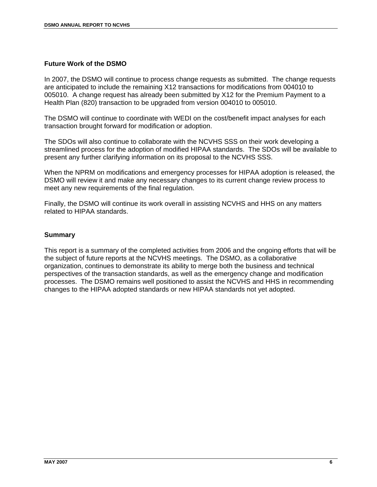#### **Future Work of the DSMO**

In 2007, the DSMO will continue to process change requests as submitted. The change requests are anticipated to include the remaining X12 transactions for modifications from 004010 to 005010. A change request has already been submitted by X12 for the Premium Payment to a Health Plan (820) transaction to be upgraded from version 004010 to 005010.

The DSMO will continue to coordinate with WEDI on the cost/benefit impact analyses for each transaction brought forward for modification or adoption.

The SDOs will also continue to collaborate with the NCVHS SSS on their work developing a streamlined process for the adoption of modified HIPAA standards. The SDOs will be available to present any further clarifying information on its proposal to the NCVHS SSS.

When the NPRM on modifications and emergency processes for HIPAA adoption is released, the DSMO will review it and make any necessary changes to its current change review process to meet any new requirements of the final regulation.

Finally, the DSMO will continue its work overall in assisting NCVHS and HHS on any matters related to HIPAA standards.

#### **Summary**

This report is a summary of the completed activities from 2006 and the ongoing efforts that will be the subject of future reports at the NCVHS meetings. The DSMO, as a collaborative organization, continues to demonstrate its ability to merge both the business and technical perspectives of the transaction standards, as well as the emergency change and modification processes. The DSMO remains well positioned to assist the NCVHS and HHS in recommending changes to the HIPAA adopted standards or new HIPAA standards not yet adopted.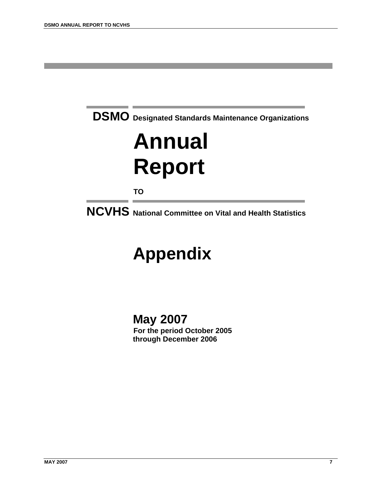**DSMO Designated Standards Maintenance Organizations**

# **Annual Report**

**TO**

**NCVHS National Committee on Vital and Health Statistics** 

# **Appendix**

**May 2007 For the period October 2005 through December 2006**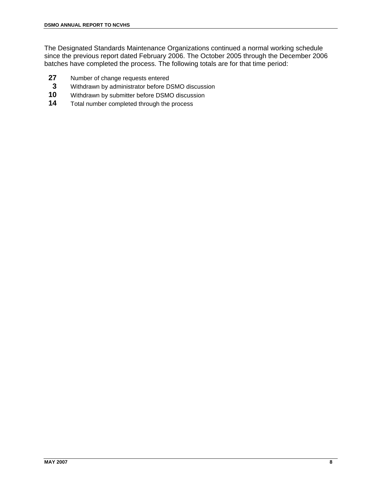The Designated Standards Maintenance Organizations continued a normal working schedule since the previous report dated February 2006. The October 2005 through the December 2006 batches have completed the process. The following totals are for that time period:

- **27** Number of change requests entered
- **3** Withdrawn by administrator before DSMO discussion
- **10** Withdrawn by submitter before DSMO discussion
- **14** Total number completed through the process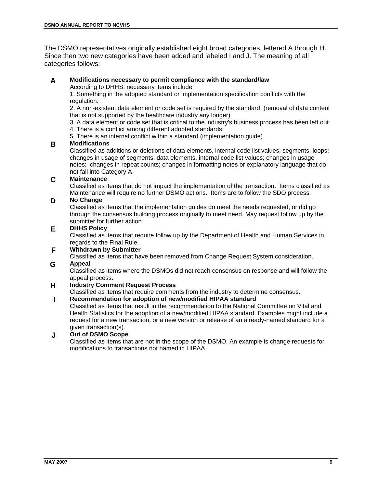The DSMO representatives originally established eight broad categories, lettered A through H. Since then two new categories have been added and labeled I and J. The meaning of all categories follows:

#### **A Modifications necessary to permit compliance with the standard/law** According to DHHS, necessary items include

1. Something in the adopted standard or implementation specification conflicts with the regulation.

2. A non-existent data element or code set is required by the standard. (removal of data content that is not supported by the healthcare industry any longer)

3. A data element or code set that is critical to the industry's business process has been left out.

4. There is a conflict among different adopted standards

5. There is an internal conflict within a standard (implementation guide).

#### **B Modifications**

Classified as additions or deletions of data elements, internal code list values, segments, loops; changes in usage of segments, data elements, internal code list values; changes in usage notes; changes in repeat counts; changes in formatting notes or explanatory language that do not fall into Category A.

#### **C Maintenance**

Classified as items that do not impact the implementation of the transaction. Items classified as Maintenance will require no further DSMO actions. Items are to follow the SDO process.

#### **D No Change**

Classified as items that the implementation guides do meet the needs requested, or did go through the consensus building process originally to meet need. May request follow up by the submitter for further action.

#### **E DHHS Policy**

Classified as items that require follow up by the Department of Health and Human Services in regards to the Final Rule.

#### **F Withdrawn by Submitter**

Classified as items that have been removed from Change Request System consideration. **G Appeal**

#### Classified as items where the DSMOs did not reach consensus on response and will follow the appeal process.

#### **H Industry Comment Request Process**

Classified as items that require comments from the industry to determine consensus.

#### **I Recommendation for adoption of new/modified HIPAA standard**

Classified as items that result in the recommendation to the National Committee on Vital and Health Statistics for the adoption of a new/modified HIPAA standard. Examples might include a request for a new transaction, or a new version or release of an already-named standard for a given transaction(s).

#### **J Out of DSMO Scope**

Classified as items that are not in the scope of the DSMO. An example is change requests for modifications to transactions not named in HIPAA.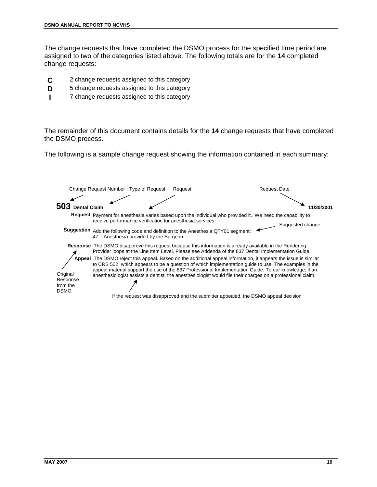The change requests that have completed the DSMO process for the specified time period are assigned to two of the categories listed above. The following totals are for the **14** completed change requests:

- **C** 2 change requests assigned to this category
- **D** 5 change requests assigned to this category
- **I** 7 change requests assigned to this category

The remainder of this document contains details for the **14** change requests that have completed the DSMO process.

The following is a sample change request showing the information contained in each summary:

|                                                 | Change Request Number Type of Request                     | Request                                                                                                                                                                                                                                                                                                                                                                                                                                        | <b>Request Date</b> |
|-------------------------------------------------|-----------------------------------------------------------|------------------------------------------------------------------------------------------------------------------------------------------------------------------------------------------------------------------------------------------------------------------------------------------------------------------------------------------------------------------------------------------------------------------------------------------------|---------------------|
| <b>Dental Claim</b>                             |                                                           |                                                                                                                                                                                                                                                                                                                                                                                                                                                |                     |
|                                                 | receive performance verification for anesthesia services. | Request Payment for anesthesia varies based upon the individual who provided it. We need the capability to                                                                                                                                                                                                                                                                                                                                     |                     |
|                                                 |                                                           | Suggestion Add the following code and definition to the Anesthesia QTY01 segment:                                                                                                                                                                                                                                                                                                                                                              | Suggested change    |
|                                                 | 47 - Anesthesia provided by the Surgeon.                  |                                                                                                                                                                                                                                                                                                                                                                                                                                                |                     |
|                                                 |                                                           | <b>Response</b> The DSMO disapprove this request because this information is already available in the Rendering<br>Provider loops at the Line Item Level. Please see Addenda of the 837 Dental Implementation Guide.                                                                                                                                                                                                                           |                     |
| Original<br>Response<br>from the<br><b>DSMO</b> |                                                           | Appeal The DSMO reject this appeal. Based on the additional appeal information, it appears the issue is similar<br>to CRS 502, which appears to be a question of which implementation quide to use. The examples in the<br>appeal material support the use of the 837 Professional Implementation Guide. To our knowledge, if an<br>anesthesiologist assists a dentist, the anesthesiologist would file their charges on a professional claim. |                     |
|                                                 |                                                           | If the request was disapproved and the submitter appealed, the DSMO appeal decision                                                                                                                                                                                                                                                                                                                                                            |                     |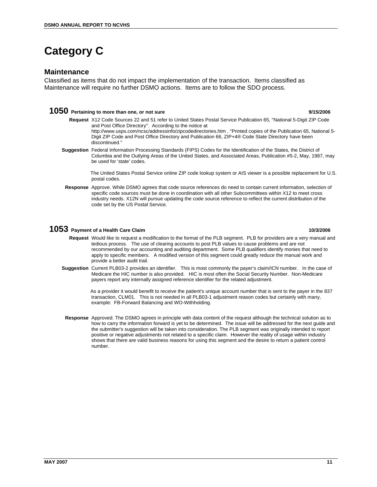### **Category C**

#### **Maintenance**

Classified as items that do not impact the implementation of the transaction. Items classified as Maintenance will require no further DSMO actions. Items are to follow the SDO process.

### **1050** Pertaining to more than one, or not sure **1050 Percent of the Structure 1050 9/15/2006**

- **Request** X12 Code Sources 22 and 51 refer to United States Postal Service Publication 65, "National 5-Digit ZIP Code and Post Office Directory". According to the notice at http://www.usps.com/ncsc/addressinfo/zipcodedirectories.htm , "Printed copies of the Publication 65, National 5- Digit ZIP Code and Post Office Directory and Publication 66, ZIP+4® Code State Directory have been discontinued."
- **Suggestion** Federal Information Processing Standards (FIPS) Codes for the Identification of the States, the District of Columbia and the Outlying Areas of the United States, and Associated Areas, Publication #5-2, May, 1987, may be used for 'state' codes.

The United States Postal Service online ZIP code lookup system or AIS viewer is a possible replacement for U.S. postal codes.

**Response** Approve. While DSMO agrees that code source references do need to contain current information, selection of specific code sources must be done in coordination with all other Subcommittees within X12 to meet cross industry needs. X12N will pursue updating the code source reference to reflect the current distribution of the code set by the US Postal Service.

#### **1053 Payment of a Health Care Claim 10/3/2006**

- **Request** Would like to request a modification to the format of the PLB segment. PLB for providers are a very manual and tedious process. The use of clearing accounts to post PLB values to cause problems and are not recommended by our accounting and auditing department. Some PLB qualifiers identify monies that need to apply to specific members. A modified version of this segment could greatly reduce the manual work and provide a better audit trail.
- **Suggestion** Current PLB03-2 provides an identifier. This is most commonly the payer's claim/ICN number. In the case of Medicare the HIC number is also provided. HIC is most often the Social Security Number. Non-Medicare payers report any internally assigned reference identifier for the related adjustment.

As a provider it would benefit to receive the patient's unique account number that is sent to the payer in the 837 transaction, CLM01. This is not needed in all PLB03-1 adjustment reason codes but certainly with many, example: FB-Forward Balancing and WO-Withholding.

**Response** Approved. The DSMO agrees in principle with data content of the request although the technical solution as to how to carry the information forward is yet to be determined. The issue will be addressed for the next guide and the submitter's suggestion will be taken into consideration. The PLB segment was originally intended to report positive or negative adjustments not related to a specific claim. However the reality of usage within industry shows that there are valid business reasons for using this segment and the desire to return a patient control number.

**MAY 2007 11**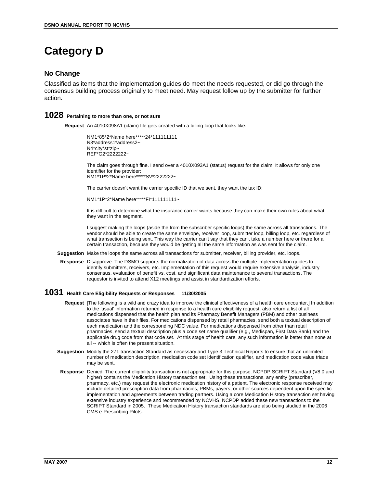## **Category D**

#### **No Change**

Classified as items that the implementation guides do meet the needs requested, or did go through the consensus building process originally to meet need. May request follow up by the submitter for further action.

### **1028 Pertaining to more than one, or not sure**

**Request** An 4010X098A1 (claim) file gets created with a billing loop that looks like:

NM1\*85\*2\*Name here\*\*\*\*\*24\*111111111-N3\*address1\*address2~ N4\*city\*st\*zip~ REF\*G2\*2222222~

The claim goes through fine. I send over a 4010X093A1 (status) request for the claim. It allows for only one identifier for the provider: NM1\*1P\*2\*Name here\*\*\*\*\*SV\*2222222~

The carrier doesn't want the carrier specific ID that we sent, they want the tax ID:

NM1\*1P\*2\*Name here\*\*\*\*\*FI\*111111111~

It is difficult to determine what the insurance carrier wants because they can make their own rules about what they want in the segment.

I suggest making the loops (aside the from the subscriber specific loops) the same across all transactions. The vendor should be able to create the same envelope, receiver loop, submitter loop, billing loop, etc. regardless of what transaction is being sent. This way the carrier can't say that they can't take a number here or there for a certain transaction, because they would be getting all the same information as was sent for the claim.

**Suggestion** Make the loops the same across all transactions for submitter, receiver, billing provider, etc. loops.

**Response** Disapprove. The DSMO supports the normalization of data across the multiple implementation guides to identify submitters, receivers, etc. Implementation of this request would require extensive analysis, industry consensus, evaluation of benefit vs. cost, and significant data maintenance to several transactions. The requestor is invited to attend X12 meetings and assist in standardization efforts.

#### **1031 Health Care Eligibility Requests or Responses 11/30/2005**

- **Request** [The following is a wild and crazy idea to improve the clinical effectiveness of a health care encounter.] In addition to the 'usual' information returned in response to a health care eligibility request, also return a list of all medications dispensed that the health plan and its Pharmacy Benefit Managers (PBM) and other business associates have in their files. For medications dispensed by retail pharmacies, send both a textual description of each medication and the corresponding NDC value. For medications dispensed from other than retail pharmacies, send a textual description plus a code set name qualifier (e.g., Medispan, First Data Bank) and the applicable drug code from that code set. At this stage of health care, any such information is better than none at all -- which is often the present situation.
- **Suggestion** Modify the 271 transaction Standard as necessary and Type 3 Technical Reports to ensure that an unlimited number of medication description, medication code set identification qualifier, and medication code value triads may be sent.
- **Response** Denied. The current eligibility transaction is not appropriate for this purpose. NCPDP SCRIPT Standard (V8.0 and higher) contains the Medication History transaction set. Using these transactions, any entity (prescriber, pharmacy, etc.) may request the electronic medication history of a patient. The electronic response received may include detailed prescription data from pharmacies, PBMs, payers, or other sources dependent upon the specific implementation and agreements between trading partners. Using a core Medication History transaction set having extensive industry experience and recommended by NCVHS, NCPDP added these new transactions to the SCRIPT Standard in 2005. These Medication History transaction standards are also being studied in the 2006 CMS e-Prescribing Pilots.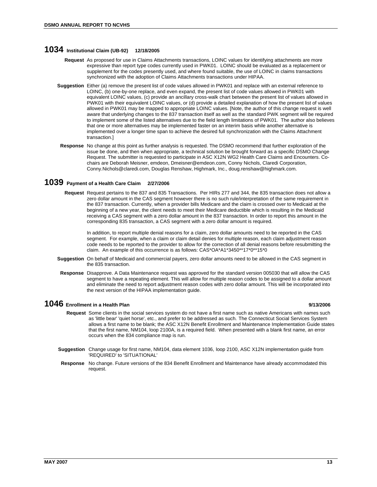#### **1034 Institutional Claim (UB-92) 12/18/2005**

- **Request** As proposed for use in Claims Attachments transactions, LOINC values for identifying attachments are more expressive than report type codes currently used in PWK01. LOINC should be evaluated as a replacement or supplement for the codes presently used, and where found suitable, the use of LOINC in claims transactions synchronized with the adoption of Claims Attachments transactions under HIPAA.
- **Suggestion** Either (a) remove the present list of code values allowed in PWK01 and replace with an external reference to LOINC, (b) one-by-one replace, and even expand, the present list of code values allowed in PWK01 with equivalent LOINC values, (c) provide an ancillary cross-walk chart between the present list of values allowed in PWK01 with their equivalent LOINC values, or (d) provide a detailed explanation of how the present list of values allowed in PWK01 may be mapped to appropriate LOINC values. [Note, the author of this change request is well aware that underlying changes to the 837 transaction itself as well as the standard PWK segment will be required to implement some of the listed alternatives due to the field length limitations of PWK01. The author also believes that one or more alternatives may be implemented faster on an interim basis while another alternative is implemented over a longer time span to achieve the desired full synchronization with the Claims Attachment transaction.]
- **Response** No change at this point as further analysis is requested. The DSMO recommend that further exploration of the issue be done, and then when appropriate, a technical solution be brought forward as a specific DSMO Change Request. The submitter is requested to participate in ASC X12N WG2 Health Care Claims and Encounters. Cochairs are Deborah Meisner, emdeon, Dmeisner@emdeon.com, Conny Nichols, Claredi Corporation, Conny.Nichols@claredi.com, Douglas Renshaw, Highmark, Inc., doug.renshaw@highmark.com.

#### **1039 Payment of a Health Care Claim 2/27/2006**

**Request** Request pertains to the 837 and 835 Transactions. Per HIRs 277 and 344, the 835 transaction does not allow a zero dollar amount in the CAS segment however there is no such rule/interpretation of the same requirement in the 837 transaction. Currently, when a provider bills Medicare and the claim is crossed over to Medicaid at the beginning of a new year, the client needs to meet their Medicare deductible which is resulting in the Medicaid receiving a CAS segment with a zero dollar amount in the 837 transaction. In order to report this amount in the corresponding 835 transaction, a CAS segment with a zero dollar amount is required.

In addition, to report multiple denial reasons for a claim, zero dollar amounts need to be reported in the CAS segment. For example, when a claim or claim detail denies for multiple reason, each claim adjustment reason code needs to be reported to the provider to allow for the correction of all denial reasons before resubmitting the claim. An example of this occurrence is as follows: CAS\*OA\*A1\*3450\*\*17\*0\*\*15\*0

- **Suggestion** On behalf of Medicaid and commercial payers, zero dollar amounts need to be allowed in the CAS segment in the 835 transaction.
- **Response** Disapprove. A Data Maintenance request was approved for the standard version 005030 that will allow the CAS segment to have a repeating element. This will allow for multiple reason codes to be assigned to a dollar amount and eliminate the need to report adjustment reason codes with zero dollar amount. This will be incorporated into the next version of the HIPAA implementation guide.

#### **1046 Enrollment in a Health Plan 9/13/2006**

- **Request** Some clients in the social services system do not have a first name such as native Americans with names such as 'little bear' 'quiet horse', etc., and prefer to be addressed as such. The Connecticut Social Services System allows a first name to be blank; the ASC X12N Benefit Enrollment and Maintenance Implementation Guide states that the first name, NM104, loop 2100A, is a required field. When presented with a blank first name, an error occurs when the 834 compliance map is run.
- **Suggestion** Change usage for first name, NM104, data element 1036, loop 2100, ASC X12N implementation guide from 'REQUIRED' to 'SITUATIONAL'
- **Response** No change. Future versions of the 834 Benefit Enrollment and Maintenance have already accommodated this request.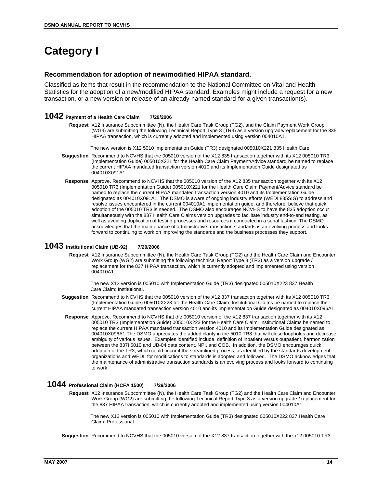## **Category I**

#### **Recommendation for adoption of new/modified HIPAA standard.**

Classified as items that result in the recommendation to the National Committee on Vital and Health Statistics for the adoption of a new/modified HIPAA standard. Examples might include a request for a new transaction, or a new version or release of an already-named standard for a given transaction(s).

#### **1042 Payment of a Health Care Claim 7/29/2006**

**Request** X12 Insurance Subcommittee (N), the Health Care Task Group (TG2), and the Claim Payment Work Group (WG3) are submitting the following Technical Report Type 3 (TR3) as a version upgrade/replacement for the 835 HIPAA transaction, which is currently adopted and implemented using version 004010A1.

The new version is X12 5010 Implementation Guide (TR3) designated 005010X221 835 Health Care

- **Suggestion** Recommend to NCVHS that the 005010 version of the X12 835 transaction together with its X12 005010 TR3 (Implementation Guide) 005010X221 for the Health Care Claim Payment/Advice standard be named to replace the current HIPAA mandated transaction version 4010 and its Implementation Guide designated as 004010X091A1.
- **Response** Approve. Recommend to NCVHS that the 005010 version of the X12 835 transaction together with its X12 005010 TR3 (Implementation Guide) 005010X221 for the Health Care Claim Payment/Advice standard be named to replace the current HIPAA mandated transaction version 4010 and its Implementation Guide designated as 004010X091A1. The DSMO is aware of ongoing industry efforts (WEDI 835SIG) to address and resolve issues encountered in the current 004010A1 implementation guide, and therefore, believe that quick adoption of the 005010 TR3 is needed. The DSMO also encourages NCVHS to have the 835 adoption occur simultaneously with the 837 Health Care Claims version upgrades to facilitate industry end-to-end testing, as well as avoiding duplication of testing processes and resources if conducted in a serial fashion. The DSMO acknowledges that the maintenance of administrative transaction standards is an evolving process and looks forward to continuing to work on improving the standards and the business processes they support.

#### **1043 Institutional Claim (UB-92) 7/29/2006**

**Request** X12 Insurance Subcommittee (N), the Health Care Task Group (TG2) and the Health Care Claim and Encounter Work Group (WG2) are submitting the following technical Report Type 3 (TR3) as a version upgrade / replacement for the 837 HIPAA transaction, which is currently adopted and implemented using version 004010A1.

The new X12 version is 005010 with Implementation Guide (TR3) designated 005010X223 837 Health Care Claim: Institutional.

- **Suggestion** Recommend to NCVHS that the 005010 version of the X12 837 transaction together with its X12 005010 TR3 (Implementation Guide) 005010X223 for the Health Care Claim: Institutional Claims be named to replace the current HIPAA mandated transaction version 4010 and its Implementation Guide designated as 004010X096A1.
- **Response** Approve. Recommend to NCVHS that the 005010 version of the X12 837 transaction together with its X12 005010 TR3 (Implementation Guide) 005010X223 for the Health Care Claim: Institutional Claims be named to replace the current HIPAA mandated transaction version 4010 and its Implementation Guide designated as 004010X096A1.The DSMO appreciates the added clarity in the 5010 TR3 that will close loopholes and decrease ambiguity of various issues. Examples identified include, definition of inpatient versus outpatient, harmonization between the 837I 5010 and UB-04 data content, NPI, and COB. In addition, the DSMO encourages quick adoption of the TR3, which could occur if the streamlined process, as identified by the standards development organizations and WEDI, for modifications to standards is adopted and followed. The DSMO acknowledges that the maintenance of administrative transaction standards is an evolving process and looks forward to continuing to work.

#### **1044 Professional Claim (HCFA 1500) 7/29/2006**

**Request** X12 Insurance Subcommittee (N), the Health Care Task Group (TG2) and the Health Care Claim and Encounter Work Group (WG2) are submitting the following Technical Report Type 3 as a version upgrade / replacement for the 837 HIPAA transaction, which is currently adopted and implemented using version 004010A1.

The new X12 version is 005010 with Implementation Guide (TR3) designated 005010X222 837 Health Care Claim: Professional.

**Suggestion** Recommend to NCVHS that the 005010 version of the X12 837 transaction together with the x12 005010 TR3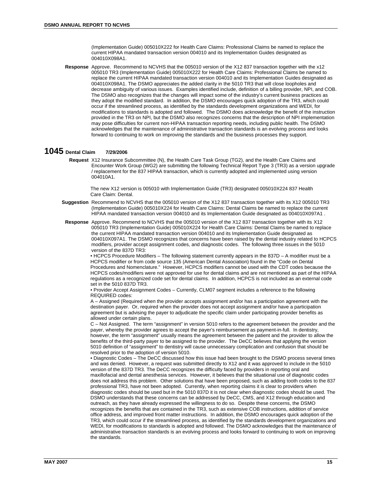(Implementation Guide) 005010X222 for Health Care Claims: Professional Claims be named to replace the current HIPAA mandated transaction version 004010 and its Implementation Guides designated as 004010X098A1.

**Response** Approve. Recommend to NCVHS that the 005010 version of the X12 837 transaction together with the x12 005010 TR3 (Implementation Guide) 005010X222 for Health Care Claims: Professional Claims be named to replace the current HIPAA mandated transaction version 004010 and its Implementation Guides designated as 004010X098A1. The DSMO appreciates the added clarity in the 5010 TR3 that will close loopholes and decrease ambiguity of various issues. Examples identified include, definition of a billing provider, NPI, and COB. The DSMO also recognizes that the changes will impact some of the industry's current business practices as they adopt the modified standard. In addition, the DSMO encourages quick adoption of the TR3, which could occur if the streamlined process, as identified by the standards development organizations and WEDI, for modifications to standards is adopted and followed. The DSMO does acknowledge the benefit of the instruction provided in the TR3 on NPI, but the DSMO also recognizes concerns that the description of NPI implementation may pose difficulties for current non-HIPAA transaction reporting needs, including public health. The DSMO acknowledges that the maintenance of administrative transaction standards is an evolving process and looks forward to continuing to work on improving the standards and the business processes they support.

#### **1045 Dental Claim 7/29/2006**

**Request** X12 Insurance Subcommittee (N), the Health Care Task Group (TG2), and the Health Care Claims and Encounter Work Group (WG2) are submitting the following Technical Report Type 3 (TR3) as a version upgrade / replacement for the 837 HIPAA transaction, which is currently adopted and implemented using version 004010A1.

The new X12 version is 005010 with Implementation Guide (TR3) designated 005010X224 837 Health Care Claim: Dental.

- **Suggestion** Recommend to NCVHS that the 005010 version of the X12 837 transaction together with its X12 005010 TR3 (Implementation Guide) 005010X224 for Health Care Claims: Dental Claims be named to replace the current HIPAA mandated transaction version 004010 and its Implementation Guide designated as 004010X097A1 .
- **Response** Approve. Recommend to NCVHS that the 005010 version of the X12 837 transaction together with its X12 005010 TR3 (Implementation Guide) 005010X224 for Health Care Claims: Dental Claims be named to replace the current HIPAA mandated transaction version 004010 and its Implementation Guide designated as 004010X097A1. The DSMO recognizes that concerns have been raised by the dental industry related to HCPCS modifiers, provider accept assignment codes, and diagnostic codes. The following three issues in the 5010 version of the 837D TR3:

• HCPCS Procedure Modifiers – The following statement currently appears in the 837D – A modifier must be a HCPCS modifier or from code source 135 (American Dental Association) found in the "Code on Dental Procedures and Nomenclature." However, HCPCS modifiers cannot be used with the CDT codes because the HCPCS codes/modifiers were not approved for use for dental claims and are not mentioned as part of the HIPAA regulations as a recognized code set for dental claims. In addition, HCPCS is not included as an external code set in the 5010 837D TR3.

• Provider Accept Assignment Codes – Currently, CLM07 segment includes a reference to the following REQUIRED codes:

A – Assigned (Required when the provider accepts assignment and/or has a participation agreement with the destination payer. Or, required when the provider does not accept assignment and/or have a participation agreement but is advising the payer to adjudicate the specific claim under participating provider benefits as allowed under certain plans.

C – Not Assigned. The term "assignment" in version 5010 refers to the agreement between the provider and the payer, whereby the provider agrees to accept the payer's reimbursement as payment-in-full. In dentistry, however, the term "assignment" usually means the agreement between the patient and the provider to allow the benefits of the third-party payer to be assigned to the provider. The DeCC believes that applying the version 5010 definition of "assignment" to dentistry will cause unnecessary complication and confusion that should be resolved prior to the adoption of version 5010.

• Diagnostic Codes – The DeCC discussed how this issue had been brought to the DSMO process several times and was denied. However, a request was submitted directly to X12 and it was approved to include in the 5010 version of the 837D TR3. The DeCC recognizes the difficulty faced by providers in reporting oral and maxillofacial and dental anesthesia services. However, it believes that the situational use of diagnostic codes does not address this problem. Other solutions that have been proposed, such as adding tooth codes to the 837 professional TR3, have not been adopted. Currently, when reporting claims it is clear to providers when diagnostic codes should be used but in the 5010 837D it is not clear when diagnostic codes should be used. The DSMO understands that these concerns can be addressed by DeCC, CMS, and X12 through education and outreach, as they have already expressed the willingness to do so. Despite these concerns, the DSMO recognizes the benefits that are contained in the TR3, such as extensive COB instructions, addition of service office address, and improved front matter instructions. In addition, the DSMO encourages quick adoption of the TR3, which could occur if the streamlined process, as identified by the standards development organizations and WEDI, for modifications to standards is adopted and followed. The DSMO acknowledges that the maintenance of administrative transaction standards is an evolving process and looks forward to continuing to work on improving the standards.